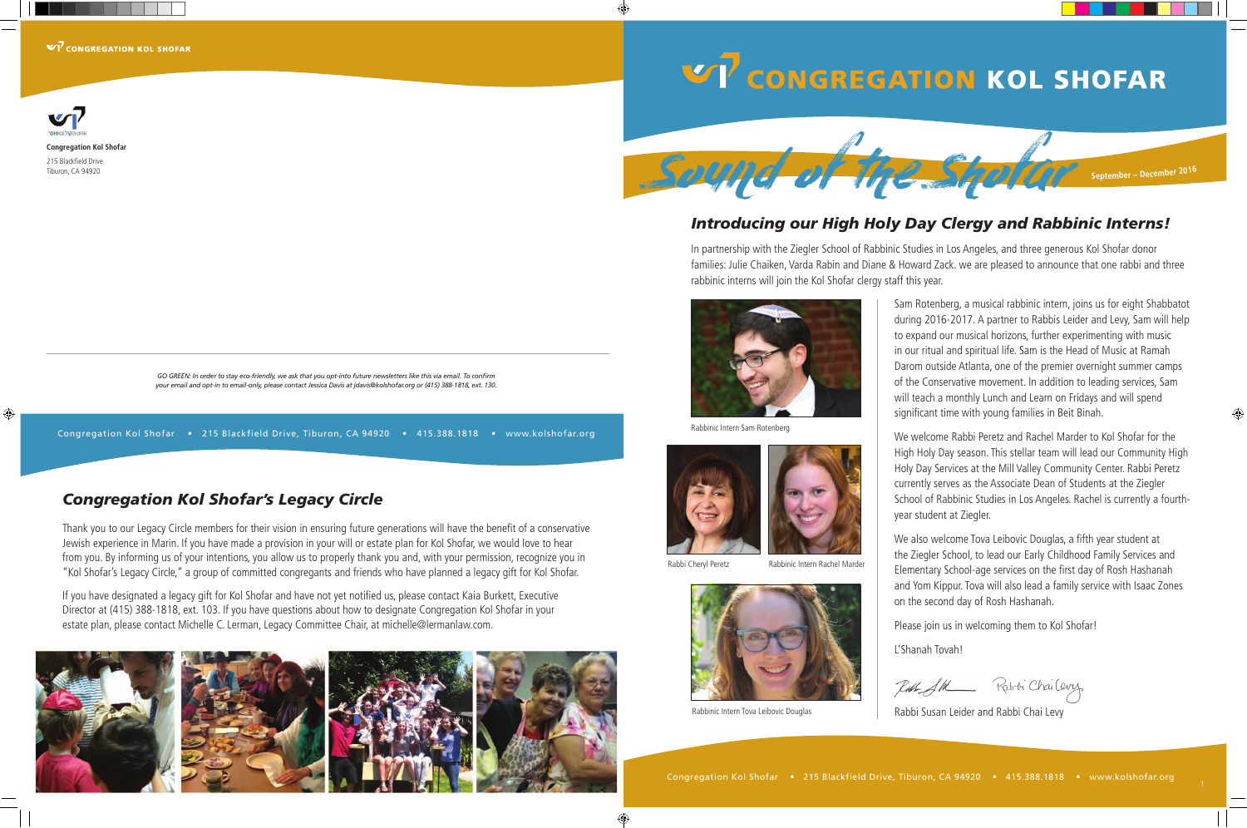$V\overline{V}$  CONGREGATION KOL SHOFAR



**Congregation Kol Shofar**

215 Blackfield Drive Tiburon, CA 94920

⊕

*GO GREEN: In order to stay eco-friendly, we ask that you opt-into future newsletters like this via email. To confirm your email and opt-in to email-only, please contact Jessica Davis at jdavis@kolshofar.org or (415) 388-1818, ext. 130.*

#### Congregation Kol Shofar • 215 Blackfield Drive, Tiburon, CA 94920 • 415.388.1818 • www.kolshofar.org

#### *Congregation Kol Shofar's Legacy Circle*

Thank you to our Legacy Circle members for their vision in ensuring future generations will have the benefit of a conservative Jewish experience in Marin. If you have made a provision in your will or estate plan for Kol Shofar, we would love to hear from you. By informing us of your intentions, you allow us to properly thank you and, with your permission, recognize you in "Kol Shofar's Legacy Circle," a group of committed congregants and friends who have planned a legacy gift for Kol Shofar.

Rabbi Cheryl Peretz Rabbinic Intern Rachel Marder



Rabbinic Intern Tova Leibovic Douglas

If you have designated a legacy gift for Kol Shofar and have not yet notified us, please contact Kaia Burkett, Executive Director at (415) 388-1818, ext. 103. If you have questions about how to designate Congregation Kol Shofar in your estate plan, please contact Michelle C. Lerman, Legacy Committee Chair, at michelle@lermanlaw.com.







# **V7** CONGREGATION KOL SHOFAR



### *Introducing our High Holy Day Clergy and Rabbinic Interns!*

In partnership with the Ziegler School of Rabbinic Studies in Los Angeles, and three generous Kol Shofar donor families: Julie Chaiken, Varda Rabin and Diane & Howard Zack. we are pleased to announce that one rabbi and three rabbinic interns will join the Kol Shofar clergy staff this year.

> Sam Rotenberg, a musical rabbinic intern, joins us for eight Shabbatot during 2016-2017. A partner to Rabbis Leider and Levy, Sam will help to expand our musical horizons, further experimenting with music in our ritual and spiritual life. Sam is the Head of Music at Ramah Darom outside Atlanta, one of the premier overnight summer camps of the Conservative movement. In addition to leading services, Sam will teach a monthly Lunch and Learn on Fridays and will spend significant time with young families in Beit Binah.

> We welcome Rabbi Peretz and Rachel Marder to Kol Shofar for the High Holy Day season. This stellar team will lead our Community High Holy Day Services at the Mill Valley Community Center. Rabbi Peretz currently serves as the Associate Dean of Students at the Ziegler School of Rabbinic Studies in Los Angeles. Rachel is currently a fourthyear student at Ziegler.

We also welcome Tova Leibovic Douglas, a fifth year student at the Ziegler School, to lead our Early Childhood Family Services and Elementary School-age services on the first day of Rosh Hashanah and Yom Kippur. Tova will also lead a family service with Isaac Zones on the second day of Rosh Hashanah.

Please join us in welcoming them to Kol Shofar!

L'Shanah Tovah!

Kabibi Chai Cevez

Rabbi Susan Leider and Rabbi Chai Levy



Rabbinic Intern Sam Rotenberg





◈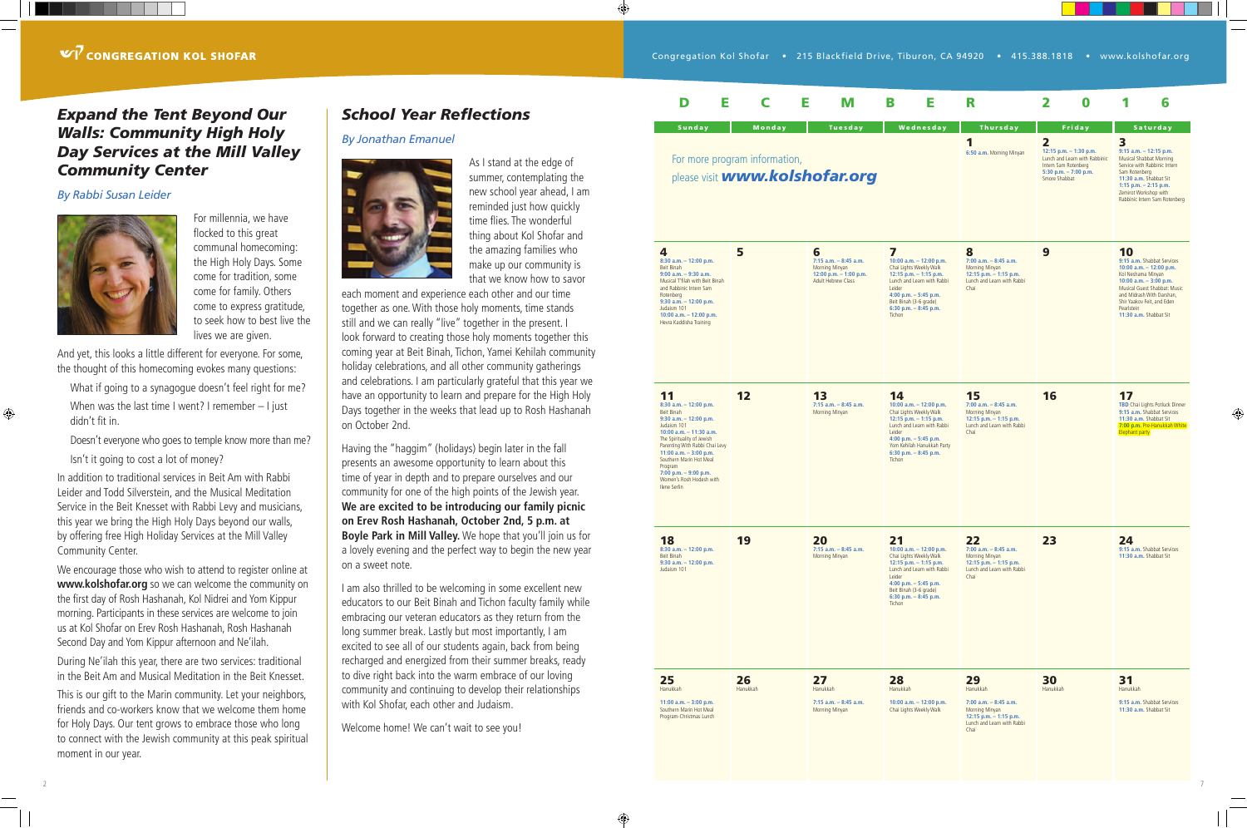#### *Expand the Tent Beyond Our Walls: Community High Holy Day Services at the Mill Valley Community Center*

#### *By Rabbi Susan Leider*



For millennia, we have flocked to this great communal homecoming: the High Holy Days. Some come for tradition, some come for family. Others come to express gratitude, to seek how to best live the lives we are given.

And yet, this looks a little different for everyone. For some, the thought of this homecoming evokes many questions:

What if going to a synagogue doesn't feel right for me? When was the last time I went? I remember – I just didn't fit in.

Doesn't everyone who goes to temple know more than me?

Isn't it going to cost a lot of money?

In addition to traditional services in Beit Am with Rabbi Leider and Todd Silverstein, and the Musical Meditation Service in the Beit Knesset with Rabbi Levy and musicians, this year we bring the High Holy Days beyond our walls, by offering free High Holiday Services at the Mill Valley Community Center.

We encourage those who wish to attend to register online at **www.kolshofar.org** so we can welcome the community on the first day of Rosh Hashanah, Kol Nidrei and Yom Kippur morning. Participants in these services are welcome to join us at Kol Shofar on Erev Rosh Hashanah, Rosh Hashanah Second Day and Yom Kippur afternoon and Ne'ilah.

During Ne'ilah this year, there are two services: traditional in the Beit Am and Musical Meditation in the Beit Knesset.

This is our gift to the Marin community. Let your neighbors, friends and co-workers know that we welcome them home for Holy Days. Our tent grows to embrace those who long to connect with the Jewish community at this peak spiritual moment in our year.

#### *School Year Reflections*

#### *By Jonathan Emanuel*



As I stand at the edge of summer, contemplating the new school year ahead, I am reminded just how quickly time flies. The wonderful thing about Kol Shofar and the amazing families who make up our community is that we know how to savor

 $\bigoplus$ 

⊕

each moment and experience each other and our time together as one. With those holy moments, time stands still and we can really "live" together in the present. I look forward to creating those holy moments together this coming year at Beit Binah, Tichon, Yamei Kehilah community holiday celebrations, and all other community gatherings and celebrations. I am particularly grateful that this year we have an opportunity to learn and prepare for the High Holy Days together in the weeks that lead up to Rosh Hashanah on October 2nd.

Having the "haggim" (holidays) begin later in the fall presents an awesome opportunity to learn about this time of year in depth and to prepare ourselves and our community for one of the high points of the Jewish year. **We are excited to be introducing our family picnic on Erev Rosh Hashanah, October 2nd, 5 p.m. at Boyle Park in Mill Valley.** We hope that you'll join us for a lovely evening and the perfect way to begin the new year on a sweet note.

I am also thrilled to be welcoming in some excellent new educators to our Beit Binah and Tichon faculty family while embracing our veteran educators as they return from the long summer break. Lastly but most importantly, I am excited to see all of our students again, back from being recharged and energized from their summer breaks, ready to dive right back into the warm embrace of our loving community and continuing to develop their relationships with Kol Shofar, each other and Judaism.

Welcome home! We can't wait to see you!



 $\bigoplus$ 

## For more program information,

#### $V$  CONGREGATION KOL SHOFAR

#### 7

⊕

| Е<br>D                                                                                                                                                                                                                                                                                                                       | Е<br>C                                                                           | M                                                                                                 | Е<br>B                                                                                                                                                                                                                     | R                                                                                                                              | 2<br>0                                                                                                                                                            | 6                                                                                                                                                                                                                                                 |  |  |  |  |
|------------------------------------------------------------------------------------------------------------------------------------------------------------------------------------------------------------------------------------------------------------------------------------------------------------------------------|----------------------------------------------------------------------------------|---------------------------------------------------------------------------------------------------|----------------------------------------------------------------------------------------------------------------------------------------------------------------------------------------------------------------------------|--------------------------------------------------------------------------------------------------------------------------------|-------------------------------------------------------------------------------------------------------------------------------------------------------------------|---------------------------------------------------------------------------------------------------------------------------------------------------------------------------------------------------------------------------------------------------|--|--|--|--|
| <b>Sunday</b>                                                                                                                                                                                                                                                                                                                | Monday<br>For more program information,<br>please visit <b>www.kolshofar.org</b> | Tuesday                                                                                           | Wednesday                                                                                                                                                                                                                  | <b>Thursday</b><br>1<br>6:50 a.m. Morning Minyan                                                                               | Friday<br>$\overline{\mathbf{2}}$<br>12:15 p.m. $-$ 1:30 p.m.<br>Lunch and Learn with Rabbinic<br>Intern Sam Rotenberg<br>5:30 p.m. $-7:00$ p.m.<br>Smore Shabbat | <b>Saturday</b><br>3<br>$9:15$ a.m. $-12:15$ p.m.<br>Musical Shabbat Morning<br>Service with Rabbinic Intern<br>Sam Rotenberg<br>11:30 a.m. Shabbat Sit<br>1:15 p.m. $-$ 2:15 p.m.<br>Zemirot Workshop with<br>Rabbinic Intern Sam Rotenberg      |  |  |  |  |
| 4<br>8:30 a.m. $- 12:00$ p.m.<br>Beit Binah<br>$9:00$ a.m. $-9:30$ a.m.<br>Musical T'filah with Beit Binah<br>and Rabbinic Intern Sam<br>Rotenberg<br>$9:30$ a.m. $-12:00$ p.m.<br>Judaism 101<br>10:00 a.m. $-$ 12:00 p.m.<br>Hevra Kaddisha Training                                                                       | 5                                                                                | 6<br>$7:15$ a.m. $-8:45$ a.m.<br>Morning Minyan<br>12:00 p.m. $-$ 1:00 p.m.<br>Adult Hebrew Class | 7<br>10:00 a.m. $-$ 12:00 p.m.<br>Chai Lights Weekly Walk<br>12:15 p.m. - 1:15 p.m.<br>Lunch and Learn with Rabbi<br>Leider<br>4:00 p.m. $-5:45$ p.m.<br>Beit Binah (3-6 grade)<br>6:30 p.m. - 8:45 p.m.<br>Tichon         | 8<br>$7:00$ a.m. $-8:45$ a.m.<br>Morning Minyan<br>12:15 p.m. $-$ 1:15 p.m.<br>Lunch and Learn with Rabbi<br>Chai              | 9                                                                                                                                                                 | 10<br>9:15 a.m. Shabbat Services<br>10:00 a.m. $-$ 12:00 p.m.<br>Kol Neshama Minyan<br>10:00 a.m. $-3:00$ p.m.<br>Musical Guest Shabbat: Music<br>and Midrash With Darshan,<br>Shir Yaakov Feit, and Eden<br>Pearlstein<br>11:30 a.m. Shabbat Sit |  |  |  |  |
| 11<br>$8:30$ a.m. $-12:00$ p.m.<br>Beit Binah<br>$9:30$ a.m. $-12:00$ p.m.<br>Judaism 101<br>10:00 a.m. $-$ 11:30 a.m.<br>The Spirituality of Jewish<br>Parenting With Rabbi Chai Levy<br>11:00 a.m. $-3:00$ p.m.<br>Southern Marin Hot Meal<br>Program<br>7:00 p.m. - 9:00 p.m.<br>Women's Rosh Hodesh with<br>Ilene Serlin | 12                                                                               | 13<br>$7:15$ a.m. $-8:45$ a.m.<br>Morning Minyan                                                  | 14<br>10:00 a.m. $-$ 12:00 p.m.<br>Chai Lights Weekly Walk<br>12:15 p.m. $-$ 1:15 p.m.<br>Lunch and Learn with Rabbi<br>Leider<br>4:00 p.m. $-5:45$ p.m.<br>Yom Kehilah Hanukkah Party<br>6:30 p.m. $-8:45$ p.m.<br>Tichon | 15<br>$7:00$ a.m. $-8:45$ a.m.<br>Morning Minyan<br>12:15 p.m. $-$ 1:15 p.m.<br>Lunch and Learn with Rabbi<br>Chai             | 16                                                                                                                                                                | 17<br><b>TBD</b> Chai Lights Potluck Dinner<br>9:15 a.m. Shabbat Services<br>11:30 a.m. Shabbat Sit<br>7:00 p.m. Pre-Hanukkah White<br><b>Elephant party</b>                                                                                      |  |  |  |  |
| 18<br>$8:30$ a.m. $-12:00$ p.m.<br>Beit Binah<br>9:30 a.m. $-$ 12:00 p.m.<br>Judaism 101                                                                                                                                                                                                                                     | 19                                                                               | 20<br>$7:15$ a.m. $-8:45$ a.m.<br>Morning Minyan                                                  | 21<br>10:00 a.m. $-$ 12:00 p.m.<br>Chai Lights Weekly Walk<br>$12:15$ p.m. $-1:15$ p.m.<br>Lunch and Learn with Rabbi<br>Leider<br>4:00 p.m. - 5:45 p.m.<br>Beit Binah (3-6 grade)<br>6:30 p.m. - 8:45 p.m.<br>Tichon      | 22<br>$7:00$ a.m. $-8:45$ a.m.<br>Morning Minyan<br>12:15 p.m. $-$ 1:15 p.m.<br>Lunch and Learn with Rabbi<br>Chai             | 23                                                                                                                                                                | 24<br>9:15 a.m. Shabbat Services<br>11:30 a.m. Shabbat Sit                                                                                                                                                                                        |  |  |  |  |
| 25<br>Hanukkah<br>11:00 a.m. $-3:00$ p.m.<br>Southern Marin Hot Meal<br>Program-Christmas Lunch                                                                                                                                                                                                                              | 26<br>Hanukkah                                                                   | 27<br>Hanukkah<br>$7:15$ a.m. $-8:45$ a.m.<br>Morning Minyan                                      | 28<br>Hanukkah<br>10:00 a.m. $-$ 12:00 p.m.<br>Chai Lights Weekly Walk                                                                                                                                                     | 29<br>Hanukkah<br>$7:00$ a.m. $-8:45$ a.m.<br>Morning Minyan<br>12:15 p.m. $-$ 1:15 p.m.<br>Lunch and Learn with Rabbi<br>Chai | 30<br>Hanukkah                                                                                                                                                    | 31<br>Hanukkah<br>9:15 a.m. Shabbat Services<br>11:30 a.m. Shabbat Sit                                                                                                                                                                            |  |  |  |  |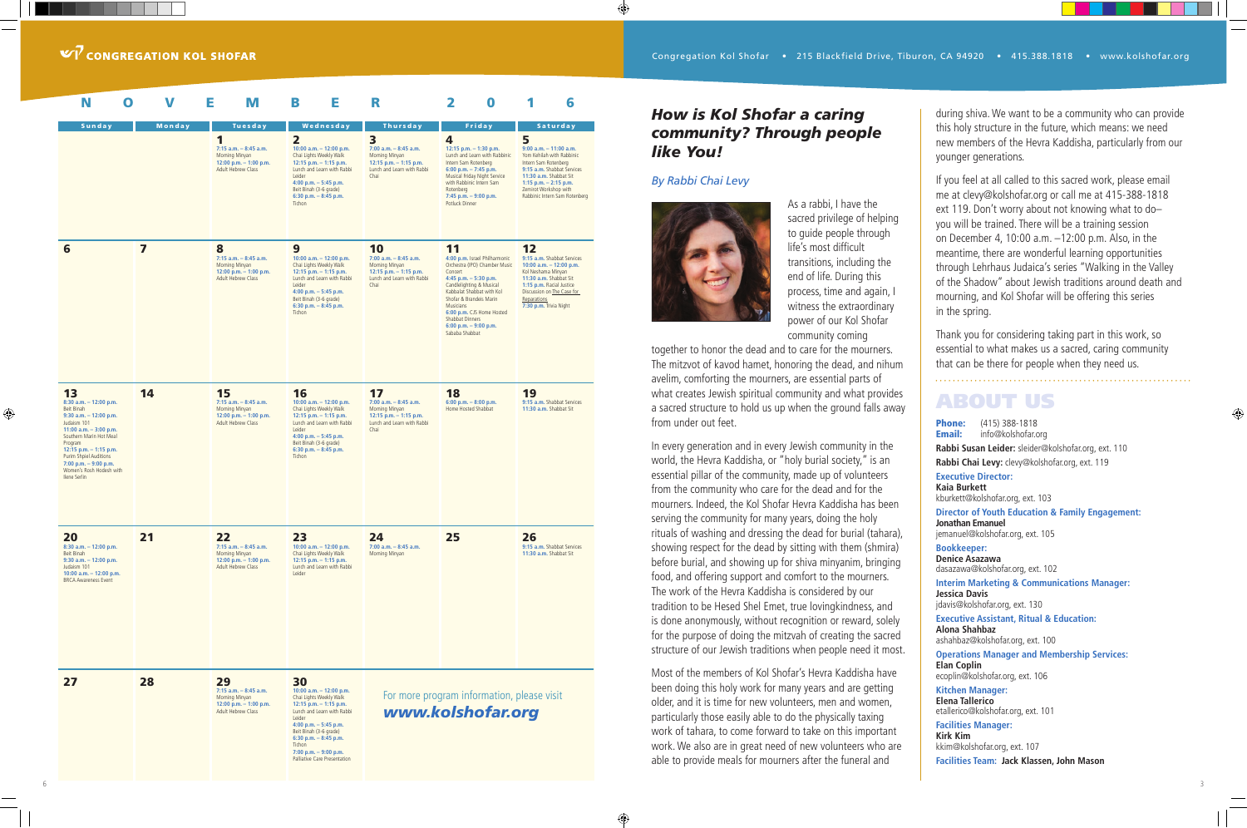6

⊕

#### *How is Kol Shofar a caring community? Through people like You!*

#### *By Rabbi Chai Levy*

 $\bigoplus$ 



As a rabbi, I have the sacred privilege of helping to guide people through life's most difficult transitions, including the end of life. During this process, time and again, I witness the extraordinary power of our Kol Shofar community coming

together to honor the dead and to care for the mourners. The mitzvot of kavod hamet, honoring the dead, and nihum avelim, comforting the mourners, are essential parts of what creates Jewish spiritual community and what provides a sacred structure to hold us up when the ground falls away from under out feet.

In every generation and in every Jewish community in the world, the Hevra Kaddisha, or "holy burial society," is an essential pillar of the community, made up of volunteers from the community who care for the dead and for the mourners. Indeed, the Kol Shofar Hevra Kaddisha has been serving the community for many years, doing the holy rituals of washing and dressing the dead for burial (tahara), showing respect for the dead by sitting with them (shmira) before burial, and showing up for shiva minyanim, bringing food, and offering support and comfort to the mourners. The work of the Hevra Kaddisha is considered by our tradition to be Hesed Shel Emet, true lovingkindness, and is done anonymously, without recognition or reward, solely for the purpose of doing the mitzvah of creating the sacred structure of our Jewish traditions when people need it most. Phone: (415) 388-1818<br>Email: info@kolshofar.o info@kolshofar.org **Rabbi Susan Leider:** sleider@kolshofar.org, ext. 110 **Rabbi Chai Levy:** clevy@kolshofar.org, ext. 119 **Executive Director: Kaia Burkett** kburkett@kolshofar.org, ext. 103 **Director of Youth Education & Family Engagement: Jonathan Emanuel**

Most of the members of Kol Shofar's Hevra Kaddisha have been doing this holy work for many years and are getting older, and it is time for new volunteers, men and women, particularly those easily able to do the physically taxing work of tahara, to come forward to take on this important work. We also are in great need of new volunteers who are able to provide meals for mourners after the funeral and

during shiva. We want to be a community who can provide this holy structure in the future, which means: we need new members of the Hevra Kaddisha, particularly from our younger generations.

If you feel at all called to this sacred work, please email me at clevy@kolshofar.org or call me at 415-388-1818 ext 119. Don't worry about not knowing what to do– you will be trained. There will be a training session on December 4, 10:00 a.m. –12:00 p.m. Also, in the meantime, there are wonderful learning opportunities through Lehrhaus Judaica's series "Walking in the Valley of the Shadow" about Jewish traditions around death and mourning, and Kol Shofar will be offering this series in the spring.

Thank you for considering taking part in this work, so essential to what makes us a sacred, caring community that can be there for people when they need us.

⊕

#### ABOUT US

jemanuel@kolshofar.org, ext. 105

**Bookkeeper: Denice Asazawa** dasazawa@kolshofar.org, ext. 102

**Interim Marketing & Communications Manager: Jessica Davis** jdavis@kolshofar.org, ext. 130

| N<br>O                                                                                                                                                                                                                                                                                 | V                       | Е<br>M                                                                                             | В<br>Е                                                                                                                                                                                                                                                                             | R                                                                                                                  | 2<br>O                                                                                                                                                                                                                                                                                                   | 6                                                                                                                                                                                                                                |  |  |  |  |  |
|----------------------------------------------------------------------------------------------------------------------------------------------------------------------------------------------------------------------------------------------------------------------------------------|-------------------------|----------------------------------------------------------------------------------------------------|------------------------------------------------------------------------------------------------------------------------------------------------------------------------------------------------------------------------------------------------------------------------------------|--------------------------------------------------------------------------------------------------------------------|----------------------------------------------------------------------------------------------------------------------------------------------------------------------------------------------------------------------------------------------------------------------------------------------------------|----------------------------------------------------------------------------------------------------------------------------------------------------------------------------------------------------------------------------------|--|--|--|--|--|
| <b>Sunday</b>                                                                                                                                                                                                                                                                          | Monday                  | Tuesday                                                                                            | Wednesday                                                                                                                                                                                                                                                                          | <b>Thursday</b>                                                                                                    | Friday                                                                                                                                                                                                                                                                                                   | <b>Saturday</b>                                                                                                                                                                                                                  |  |  |  |  |  |
|                                                                                                                                                                                                                                                                                        |                         | 1<br>7:15 a.m. - 8:45 a.m.<br>Morning Minyan<br>12:00 p.m. $-$ 1:00 p.m.<br>Adult Hebrew Class     | $\overline{2}$<br>10:00 a.m. $-$ 12:00 p.m.<br>Chai Lights Weekly Walk<br>12:15 p.m. $-$ 1:15 p.m.<br>Lunch and Learn with Rabbi<br>Leider<br>4:00 p.m. $-$ 5:45 p.m.<br>Beit Binah (3-6 grade)<br>6:30 p.m. $-$ 8:45 p.m.<br>Tichon                                               | 3<br>$7:00$ a.m. $-8:45$ a.m.<br>Morning Minyan<br>12:15 p.m. $-$ 1:15 p.m.<br>Lunch and Learn with Rabbi<br>Chai  | 4<br>12:15 p.m. $-$ 1:30 p.m.<br>Lunch and Learn with Rabbinic<br>Intern Sam Rotenberg<br>6:00 p.m. $-7:45$ p.m.<br>Musical Friday Night Service<br>with Rabbinic Intern Sam<br>Rotenberg<br>7:45 p.m. - 9:00 p.m.<br>Potluck Dinner                                                                     | 5<br>$9:00$ a.m. $-11:00$ a.m.<br>Yom Kehilah with Rabbinic<br>Intern Sam Rotenberg<br>9:15 a.m. Shabbat Services<br>11:30 a.m. Shabbat Sit<br>1:15 p.m. $-$ 2:15 p.m.<br>Zemirot Workshop with<br>Rabbinic Intern Sam Rotenberg |  |  |  |  |  |
| 6                                                                                                                                                                                                                                                                                      | $\overline{\mathbf{z}}$ | 8<br>$7:15$ a.m. $-8:45$ a.m.<br>Morning Minyan<br>12:00 p.m. $-$ 1:00 p.m.<br>Adult Hebrew Class  | 9<br>10:00 a.m. $-$ 12:00 p.m.<br>Chai Lights Weekly Walk<br>12:15 p.m. $-$ 1:15 p.m.<br>Lunch and Learn with Rabbi<br>Leider<br>4:00 p.m. $-$ 5:45 p.m.<br>Beit Binah (3-6 grade)<br>6:30 p.m. $-$ 8:45 p.m.<br>Tichon                                                            | 10<br>$7:00$ a.m. $-8:45$ a.m.<br>Morning Minyan<br>12:15 p.m. $-$ 1:15 p.m.<br>Lunch and Learn with Rabbi<br>Chai | 11<br>4:00 p.m. Israel Philharmonic<br>Orchestra (IPO) Chamber Music<br>Concert<br>4:45 p.m. $-$ 5:30 p.m.<br>Candlelighting & Musical<br>Kabbalat Shabbat with Kol<br>Shofar & Brandeis Marin<br>Musicians<br>6:00 p.m. CJS Home Hosted<br>Shabbat Dinners<br>6:00 p.m. $-$ 9:00 p.m.<br>Sababa Shabbat | 12<br>9:15 a.m. Shabbat Services<br>10:00 a.m. $-$ 12:00 p.m.<br>Kol Neshama Minyan<br>11:30 a.m. Shabbat Sit<br>1:15 p.m. Racial Justice<br>Discussion on The Case for<br>Reparations<br>7:30 p.m. Trivia Night                 |  |  |  |  |  |
| 13<br>$8:30$ a.m. $-12:00$ p.m.<br>Beit Binah<br>$9:30$ a.m. $-12:00$ p.m.<br>Judaism 101<br>11:00 a.m. $-3:00$ p.m.<br>Southern Marin Hot Meal<br>Program<br>12:15 p.m. $-$ 1:15 p.m.<br>Purim Shpiel Auditions<br>7:00 p.m. $-9:00$ p.m.<br>Women's Rosh Hodesh with<br>Ilene Serlin | 14                      | 15<br>$7:15$ a.m. $-8:45$ a.m.<br>Morning Minyan<br>12:00 p.m. $-$ 1:00 p.m.<br>Adult Hebrew Class | 16<br>10:00 a.m. $-$ 12:00 p.m.<br>Chai Lights Weekly Walk<br>12:15 p.m. - 1:15 p.m.<br>Lunch and Learn with Rabbi<br>Leider<br>4:00 p.m. $-$ 5:45 p.m.<br>Beit Binah (3-6 grade)<br>6:30 p.m. $-$ 8:45 p.m.<br>Tichon                                                             | 17<br>$7:00$ a.m. $-8:45$ a.m.<br>Morning Minyan<br>12:15 p.m. $-$ 1:15 p.m.<br>Lunch and Learn with Rabbi<br>Chai | 18<br>6:00 p.m. $-$ 8:00 p.m.<br>Home Hosted Shabbat                                                                                                                                                                                                                                                     | 19<br>9:15 a.m. Shabbat Services<br>11:30 a.m. Shabbat Sit                                                                                                                                                                       |  |  |  |  |  |
| 20<br>8:30 a.m. - 12:00 p.m.<br>Beit Binah<br>$9:30$ a.m. $-12:00$ p.m.<br>Judaism 101<br>10:00 a.m. $-$ 12:00 p.m.<br><b>BRCA Awareness Event</b>                                                                                                                                     | 21                      | 22<br>$7:15$ a.m. $-8:45$ a.m.<br>Morning Minyan<br>12:00 p.m. - 1:00 p.m.<br>Adult Hebrew Class   | 23<br>10:00 a.m. $-$ 12:00 p.m.<br>Chai Lights Weekly Walk<br>12:15 p.m. $-$ 1:15 p.m.<br>Lunch and Learn with Rabbi<br>Leider                                                                                                                                                     | 24<br>$7:00$ a.m. $-8:45$ a.m.<br>Morning Minyan                                                                   | 25                                                                                                                                                                                                                                                                                                       | 26<br>9:15 a.m. Shabbat Services<br>11:30 a.m. Shabbat Sit                                                                                                                                                                       |  |  |  |  |  |
| 27                                                                                                                                                                                                                                                                                     | 28                      | 29<br>$7:15$ a.m. $-8:45$ a.m.<br>Morning Minyan<br>12:00 p.m. $-$ 1:00 p.m.<br>Adult Hebrew Class | 30<br>10:00 a.m. $-$ 12:00 p.m.<br>Chai Lights Weekly Walk<br>12:15 p.m. $-$ 1:15 p.m.<br>Lunch and Learn with Rabbi<br>Leider<br>4:00 p.m. $-$ 5:45 p.m.<br>Beit Binah (3-6 grade)<br>6:30 p.m. $-$ 8:45 p.m.<br>Tichon<br>7:00 p.m. $-9:00$ p.m.<br>Palliative Care Presentation |                                                                                                                    | For more program information, please visit<br>www.kolshofar.org                                                                                                                                                                                                                                          |                                                                                                                                                                                                                                  |  |  |  |  |  |

⊕

**Executive Assistant, Ritual & Education: Alona Shahbaz** ashahbaz@kolshofar.org, ext. 100

**Operations Manager and Membership Services: Elan Coplin** ecoplin@kolshofar.org, ext. 106

**Kitchen Manager: Elena Tallerico** etallerico@kolshofar.org, ext. 101

**Facilities Manager: Kirk Kim** kkim@kolshofar.org, ext. 107 **Facilities Team: Jack Klassen, John Mason**